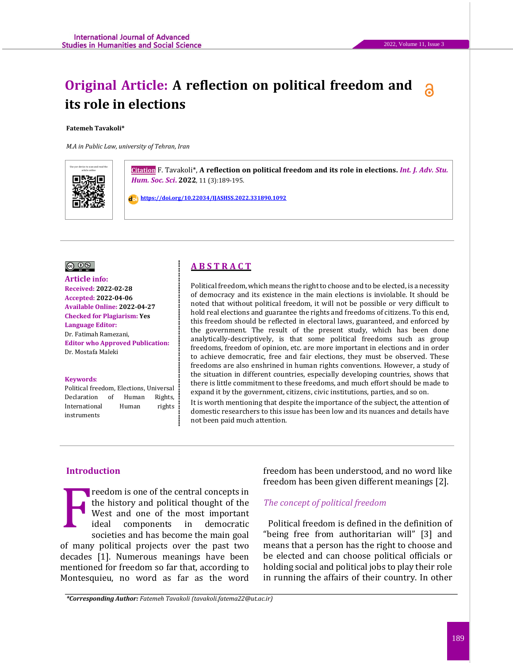# **Original Article: A reflection on political freedom and its role in elections**

**Fatemeh Tavakoli\***

*M.A in Public Law, university of Tehran, Iran*



**Citation** F. Tavakoli\*, A reflection on political freedom and its role in elections. *Int. J. Adv. Stu. Hum. Soc. Sci***. 2022**, 11 (3):189-195.

 **<https://doi.org/10.22034/IJASHSS.2022.331890.1092>**



**Article info: Received: 2022-02-28 Accepted: 2022-04-06 Available Online: 2022-04-27 Checked for Plagiarism: Yes Language Editor:**  Dr. Fatimah Ramezani, **Editor who Approved Publication:**  [Dr. M](http://www.ijashss.com/journal/editorial.board?edbc=8091)ostafa Maleki

#### **Keywords**:

Political freedom, Elections, Universal Declaration of Human Rights, International Human rights instruments

# **A B S T R A C T**

Political freedom, which means the right to choose and to be elected, is a necessity of democracy and its existence in the main elections is inviolable. It should be noted that without political freedom, it will not be possible or very difficult to hold real elections and guarantee the rights and freedoms of citizens. To this end, this freedom should be reflected in electoral laws, guaranteed, and enforced by the government. The result of the present study, which has been done analytically-descriptively, is that some political freedoms such as group freedoms, freedom of opinion, etc. are more important in elections and in order to achieve democratic, free and fair elections, they must be observed. These freedoms are also enshrined in human rights conventions. However, a study of the situation in different countries, especially developing countries, shows that there is little commitment to these freedoms, and much effort should be made to expand it by the government, citizens, civic institutions, parties, and so on. It is worth mentioning that despite the importance of the subject, the attention of domestic researchers to this issue has been low and its nuances and details have not been paid much attention.

## **Introduction**

reedom is one of the central concepts in the history and political thought of the West and one of the most important ideal components in democratic societies and has become the main goal of many political projects over the past two decades [1]. Numerous meanings have been mentioned for freedom so far that, according to Montesquieu, no word as far as the word F

freedom has been understood, and no word like freedom has been given different meanings [2].

## *The concept of political freedom*

Political freedom is defined in the definition of "being free from authoritarian will" [3] and means that a person has the right to choose and be elected and can choose political officials or holding social and political jobs to play their role in running the affairs of their country. In other

*\*Corresponding Author: Fatemeh Tavakoli (tavakoli.fatema22@ut.ac.ir)*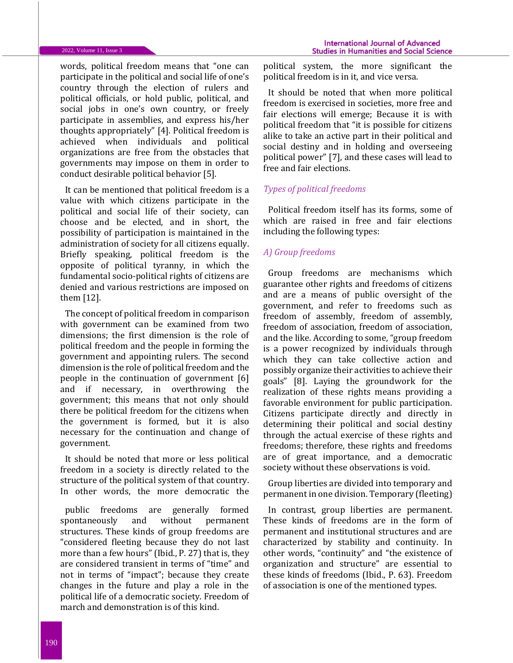#### 2022, Volume 11, Issue 3

words, political freedom means that "one can participate in the political and social life of one's country through the election of rulers and political officials, or hold public, political, and social jobs in one's own country, or freely participate in assemblies, and express his/her thoughts appropriately" [4]. Political freedom is achieved when individuals and political organizations are free from the obstacles that governments may impose on them in order to conduct desirable political behavior [5].

It can be mentioned that political freedom is a value with which citizens participate in the political and social life of their society, can choose and be elected, and in short, the possibility of participation is maintained in the administration of society for all citizens equally. Briefly speaking, political freedom is the opposite of political tyranny, in which the fundamental socio-political rights of citizens are denied and various restrictions are imposed on them [12].

The concept of political freedom in comparison with government can be examined from two dimensions; the first dimension is the role of political freedom and the people in forming the government and appointing rulers. The second dimension is the role of political freedom and the people in the continuation of government [6] and if necessary, in overthrowing the government; this means that not only should there be political freedom for the citizens when the government is formed, but it is also necessary for the continuation and change of government.

It should be noted that more or less political freedom in a society is directly related to the structure of the political system of that country. In other words, the more democratic the

public freedoms are generally formed spontaneously and without permanent structures. These kinds of group freedoms are "considered fleeting because they do not last more than a few hours" (Ibid., P. 27) that is, they are considered transient in terms of "time" and not in terms of "impact"; because they create changes in the future and play a role in the political life of a democratic society. Freedom of march and demonstration is of this kind.

political system, the more significant the political freedom is in it, and vice versa.

It should be noted that when more political freedom is exercised in societies, more free and fair elections will emerge; Because it is with political freedom that "it is possible for citizens alike to take an active part in their political and social destiny and in holding and overseeing political power" [7], and these cases will lead to free and fair elections.

# *Types of political freedoms*

Political freedom itself has its forms, some of which are raised in free and fair elections including the following types:

# *A) Group freedoms*

Group freedoms are mechanisms which guarantee other rights and freedoms of citizens and are a means of public oversight of the government, and refer to freedoms such as freedom of assembly, freedom of assembly, freedom of association, freedom of association, and the like. According to some, "group freedom is a power recognized by individuals through which they can take collective action and possibly organize their activities to achieve their goals" [8]. Laying the groundwork for the realization of these rights means providing a favorable environment for public participation. Citizens participate directly and directly in determining their political and social destiny through the actual exercise of these rights and freedoms; therefore, these rights and freedoms are of great importance, and a democratic society without these observations is void.

Group liberties are divided into temporary and permanent in one division. Temporary (fleeting)

In contrast, group liberties are permanent. These kinds of freedoms are in the form of permanent and institutional structures and are characterized by stability and continuity. In other words, "continuity" and "the existence of organization and structure" are essential to these kinds of freedoms (Ibid., P. 63). Freedom of association is one of the mentioned types.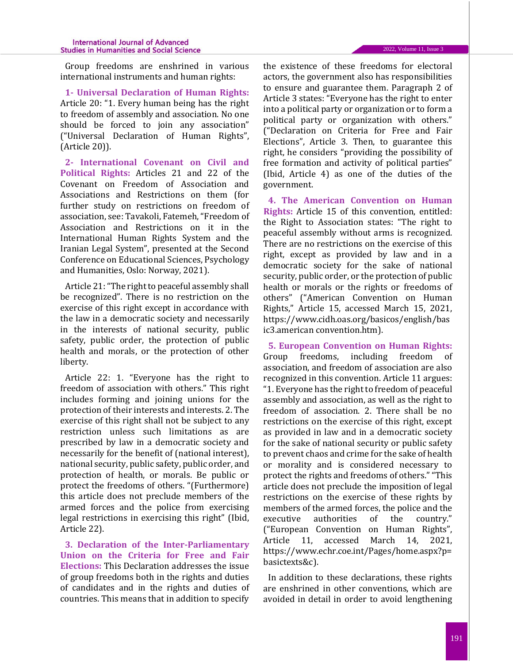Group freedoms are enshrined in various international instruments and human rights:

**1- Universal Declaration of Human Rights:** Article 20: "1. Every human being has the right to freedom of assembly and association. No one should be forced to join any association" ("Universal Declaration of Human Rights", (Article 20)).

**2- International Covenant on Civil and Political Rights:** Articles 21 and 22 of the Covenant on Freedom of Association and Associations and Restrictions on them (for further study on restrictions on freedom of association, see: Tavakoli, Fatemeh, "Freedom of Association and Restrictions on it in the International Human Rights System and the Iranian Legal System", presented at the Second Conference on Educational Sciences, Psychology and Humanities, Oslo: Norway, 2021).

Article 21: "The right to peaceful assembly shall be recognized". There is no restriction on the exercise of this right except in accordance with the law in a democratic society and necessarily in the interests of national security, public safety, public order, the protection of public health and morals, or the protection of other liberty.

Article 22: 1. "Everyone has the right to freedom of association with others." This right includes forming and joining unions for the protection of their interests and interests. 2. The exercise of this right shall not be subject to any restriction unless such limitations as are prescribed by law in a democratic society and necessarily for the benefit of (national interest), national security, public safety, public order, and protection of health, or morals. Be public or protect the freedoms of others. "(Furthermore) this article does not preclude members of the armed forces and the police from exercising legal restrictions in exercising this right" (Ibid, Article 22).

**3. Declaration of the Inter-Parliamentary Union on the Criteria for Free and Fair Elections:** This Declaration addresses the issue of group freedoms both in the rights and duties of candidates and in the rights and duties of countries. This means that in addition to specify

the existence of these freedoms for electoral actors, the government also has responsibilities to ensure and guarantee them. Paragraph 2 of Article 3 states: "Everyone has the right to enter into a political party or organization or to form a political party or organization with others." ("Declaration on Criteria for Free and Fair Elections", Article 3. Then, to guarantee this right, he considers "providing the possibility of free formation and activity of political parties" (Ibid, Article 4) as one of the duties of the government.

**4. The American Convention on Human Rights:** Article 15 of this convention, entitled: the Right to Association states: "The right to peaceful assembly without arms is recognized. There are no restrictions on the exercise of this right, except as provided by law and in a democratic society for the sake of national security, public order, or the protection of public health or morals or the rights or freedoms of others" ("American Convention on Human Rights," Article 15, accessed March 15, 2021, https://www.cidh.oas.org/basicos/english/bas ic3.american convention.htm).

**5. European Convention on Human Rights:** Group freedoms, including freedom of association, and freedom of association are also recognized in this convention. Article 11 argues: "1. Everyone has the right to freedom of peaceful assembly and association, as well as the right to freedom of association. 2. There shall be no restrictions on the exercise of this right, except as provided in law and in a democratic society for the sake of national security or public safety to prevent chaos and crime for the sake of health or morality and is considered necessary to protect the rights and freedoms of others." "This article does not preclude the imposition of legal restrictions on the exercise of these rights by members of the armed forces, the police and the executive authorities of the country." ("European Convention on Human Rights", Article 11, accessed March 14, 2021, https://www.echr.coe.int/Pages/home.aspx?p= basictexts&c).

In addition to these declarations, these rights are enshrined in other conventions, which are avoided in detail in order to avoid lengthening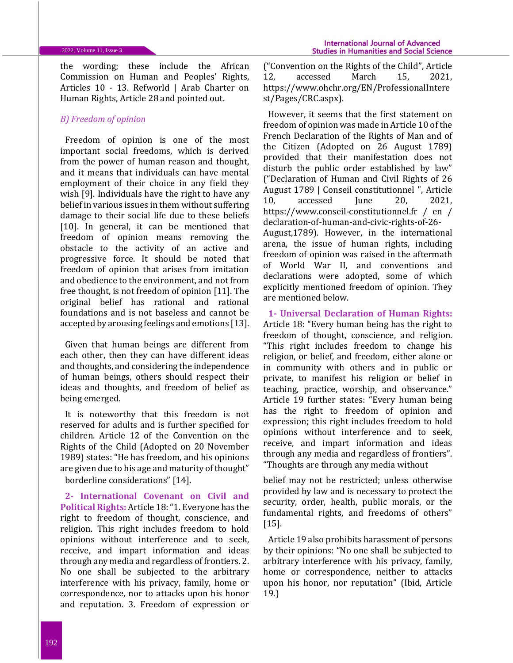the wording; these include the African Commission on Human and Peoples' Rights, Articles 10 - 13. Refworld | Arab Charter on Human Rights, Article 28 and pointed out.

# *B) Freedom of opinion*

Freedom of opinion is one of the most important social freedoms, which is derived from the power of human reason and thought, and it means that individuals can have mental employment of their choice in any field they wish [9]. Individuals have the right to have any belief in various issues in them without suffering damage to their social life due to these beliefs [10]. In general, it can be mentioned that freedom of opinion means removing the obstacle to the activity of an active and progressive force. It should be noted that freedom of opinion that arises from imitation and obedience to the environment, and not from free thought, is not freedom of opinion [11]. The original belief has rational and rational foundations and is not baseless and cannot be accepted by arousing feelings and emotions [13].

Given that human beings are different from each other, then they can have different ideas and thoughts, and considering the independence of human beings, others should respect their ideas and thoughts, and freedom of belief as being emerged.

It is noteworthy that this freedom is not reserved for adults and is further specified for children. Article 12 of the Convention on the Rights of the Child (Adopted on 20 November 1989) states: "He has freedom, and his opinions are given due to his age and maturity of thought" borderline considerations" [14].

**2- International Covenant on Civil and Political Rights:** Article 18: "1. Everyone has the right to freedom of thought, conscience, and religion. This right includes freedom to hold opinions without interference and to seek, receive, and impart information and ideas through any media and regardless of frontiers. 2. No one shall be subjected to the arbitrary interference with his privacy, family, home or correspondence, nor to attacks upon his honor and reputation. 3. Freedom of expression or

("Convention on the Rights of the Child", Article 12, accessed March 15, 2021, https://www.ohchr.org/EN/ProfessionalIntere st/Pages/CRC.aspx).

However, it seems that the first statement on freedom of opinion was made in Article 10 of the French Declaration of the Rights of Man and of the Citizen (Adopted on 26 August 1789) provided that their manifestation does not disturb the public order established by law" ("Declaration of Human and Civil Rights of 26 August 1789 | Conseil constitutionnel ", Article 10, accessed June 20, 2021, https://www.conseil-constitutionnel.fr / en / declaration-of-human-and-civic-rights-of-26- August,1789). However, in the international arena, the issue of human rights, including freedom of opinion was raised in the aftermath of World War II, and conventions and declarations were adopted, some of which explicitly mentioned freedom of opinion. They are mentioned below.

**1- Universal Declaration of Human Rights:** Article 18: "Every human being has the right to freedom of thought, conscience, and religion. "This right includes freedom to change his religion, or belief, and freedom, either alone or in community with others and in public or private, to manifest his religion or belief in teaching, practice, worship, and observance." Article 19 further states: "Every human being has the right to freedom of opinion and expression; this right includes freedom to hold opinions without interference and to seek, receive, and impart information and ideas through any media and regardless of frontiers". "Thoughts are through any media without

belief may not be restricted; unless otherwise provided by law and is necessary to protect the security, order, health, public morals, or the fundamental rights, and freedoms of others" [15].

Article 19 also prohibits harassment of persons by their opinions: "No one shall be subjected to arbitrary interference with his privacy, family, home or correspondence, neither to attacks upon his honor, nor reputation" (Ibid, Article 19.)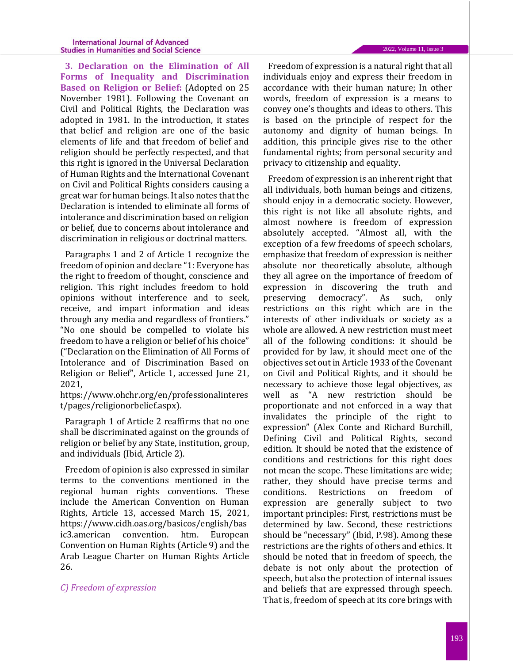**3. Declaration on the Elimination of All Forms of Inequality and Discrimination Based on Religion or Belief:** (Adopted on 25 November 1981). Following the Covenant on Civil and Political Rights, the Declaration was adopted in 1981. In the introduction, it states that belief and religion are one of the basic elements of life and that freedom of belief and religion should be perfectly respected, and that this right is ignored in the Universal Declaration of Human Rights and the International Covenant on Civil and Political Rights considers causing a great war for human beings. It also notes that the Declaration is intended to eliminate all forms of intolerance and discrimination based on religion or belief, due to concerns about intolerance and discrimination in religious or doctrinal matters.

Paragraphs 1 and 2 of Article 1 recognize the freedom of opinion and declare "1: Everyone has the right to freedom of thought, conscience and religion. This right includes freedom to hold opinions without interference and to seek, receive, and impart information and ideas through any media and regardless of frontiers." "No one should be compelled to violate his freedom to have a religion or belief of his choice" ("Declaration on the Elimination of All Forms of Intolerance and of Discrimination Based on Religion or Belief", Article 1, accessed June 21, 2021,

https://www.ohchr.org/en/professionalinteres t/pages/religionorbelief.aspx).

Paragraph 1 of Article 2 reaffirms that no one shall be discriminated against on the grounds of religion or belief by any State, institution, group, and individuals (Ibid, Article 2).

Freedom of opinion is also expressed in similar terms to the conventions mentioned in the regional human rights conventions. These include the American Convention on Human Rights, Article 13, accessed March 15, 2021, https://www.cidh.oas.org/basicos/english/bas ic3.american convention. htm. European Convention on Human Rights (Article 9) and the Arab League Charter on Human Rights Article 26.

## *C) Freedom of expression*

Freedom of expression is a natural right that all individuals enjoy and express their freedom in accordance with their human nature; In other words, freedom of expression is a means to convey one's thoughts and ideas to others. This is based on the principle of respect for the autonomy and dignity of human beings. In addition, this principle gives rise to the other fundamental rights; from personal security and privacy to citizenship and equality.

Freedom of expression is an inherent right that all individuals, both human beings and citizens, should enjoy in a democratic society. However, this right is not like all absolute rights, and almost nowhere is freedom of expression absolutely accepted. "Almost all, with the exception of a few freedoms of speech scholars, emphasize that freedom of expression is neither absolute nor theoretically absolute, although they all agree on the importance of freedom of expression in discovering the truth and preserving democracy". As such, only restrictions on this right which are in the interests of other individuals or society as a whole are allowed. A new restriction must meet all of the following conditions: it should be provided for by law, it should meet one of the objectives set out in Article 1933 of the Covenant on Civil and Political Rights, and it should be necessary to achieve those legal objectives, as well as "A new restriction should be proportionate and not enforced in a way that invalidates the principle of the right to expression" (Alex Conte and Richard Burchill, Defining Civil and Political Rights, second edition. It should be noted that the existence of conditions and restrictions for this right does not mean the scope. These limitations are wide; rather, they should have precise terms and conditions. Restrictions on freedom of expression are generally subject to two important principles: First, restrictions must be determined by law. Second, these restrictions should be "necessary" (Ibid, P.98). Among these restrictions are the rights of others and ethics. It should be noted that in freedom of speech, the debate is not only about the protection of speech, but also the protection of internal issues and beliefs that are expressed through speech. That is, freedom of speech at its core brings with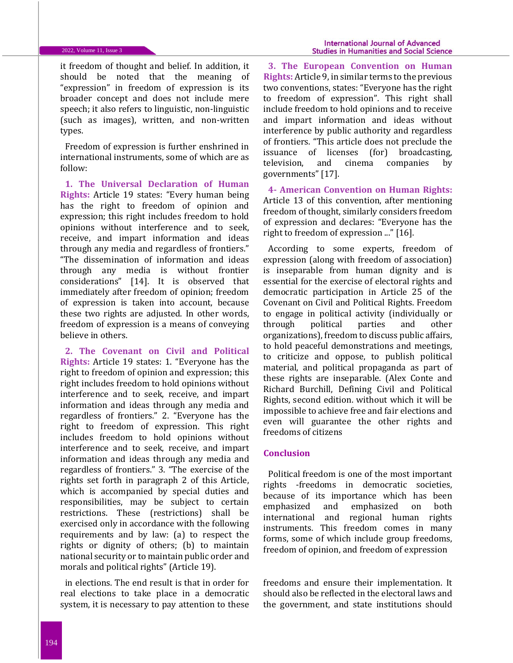it freedom of thought and belief. In addition, it should be noted that the meaning of "expression" in freedom of expression is its broader concept and does not include mere speech; it also refers to linguistic, non-linguistic (such as images), written, and non-written types.

Freedom of expression is further enshrined in international instruments, some of which are as follow:

**1. The Universal Declaration of Human Rights:** Article 19 states: "Every human being has the right to freedom of opinion and expression; this right includes freedom to hold opinions without interference and to seek, receive, and impart information and ideas through any media and regardless of frontiers." "The dissemination of information and ideas through any media is without frontier considerations" [14]. It is observed that immediately after freedom of opinion; freedom of expression is taken into account, because these two rights are adjusted. In other words, freedom of expression is a means of conveying believe in others.

**2. The Covenant on Civil and Political Rights:** Article 19 states: 1. "Everyone has the right to freedom of opinion and expression; this right includes freedom to hold opinions without interference and to seek, receive, and impart information and ideas through any media and regardless of frontiers." 2. "Everyone has the right to freedom of expression. This right includes freedom to hold opinions without interference and to seek, receive, and impart information and ideas through any media and regardless of frontiers." 3. "The exercise of the rights set forth in paragraph 2 of this Article, which is accompanied by special duties and responsibilities, may be subject to certain restrictions. These (restrictions) shall be exercised only in accordance with the following requirements and by law: (a) to respect the rights or dignity of others; (b) to maintain national security or to maintain public order and morals and political rights" (Article 19).

in elections. The end result is that in order for real elections to take place in a democratic system, it is necessary to pay attention to these

**3. The European Convention on Human Rights:** Article 9, in similar terms to the previous two conventions, states: "Everyone has the right to freedom of expression". This right shall include freedom to hold opinions and to receive and impart information and ideas without interference by public authority and regardless of frontiers. "This article does not preclude the issuance of licenses (for) broadcasting, television, and cinema companies by governments" [17].

**4- American Convention on Human Rights:** Article 13 of this convention, after mentioning freedom of thought, similarly considers freedom of expression and declares: "Everyone has the right to freedom of expression ..." [16].

According to some experts, freedom of expression (along with freedom of association) is inseparable from human dignity and is essential for the exercise of electoral rights and democratic participation in Article 25 of the Covenant on Civil and Political Rights. Freedom to engage in political activity (individually or through political parties and other organizations), freedom to discuss public affairs, to hold peaceful demonstrations and meetings, to criticize and oppose, to publish political material, and political propaganda as part of these rights are inseparable. (Alex Conte and Richard Burchill, Defining Civil and Political Rights, second edition. without which it will be impossible to achieve free and fair elections and even will guarantee the other rights and freedoms of citizens

#### **Conclusion**

Political freedom is one of the most important rights -freedoms in democratic societies, because of its importance which has been emphasized and emphasized on both international and regional human rights instruments. This freedom comes in many forms, some of which include group freedoms, freedom of opinion, and freedom of expression

freedoms and ensure their implementation. It should also be reflected in the electoral laws and the government, and state institutions should